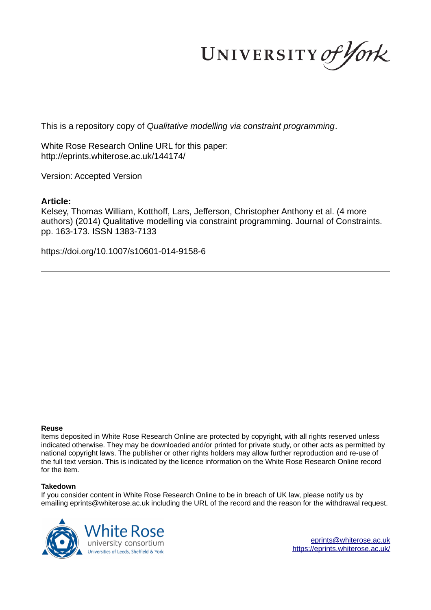UNIVERSITY of York

This is a repository copy of *Qualitative modelling via constraint programming*.

White Rose Research Online URL for this paper: http://eprints.whiterose.ac.uk/144174/

Version: Accepted Version

# **Article:**

Kelsey, Thomas William, Kotthoff, Lars, Jefferson, Christopher Anthony et al. (4 more authors) (2014) Qualitative modelling via constraint programming. Journal of Constraints. pp. 163-173. ISSN 1383-7133

https://doi.org/10.1007/s10601-014-9158-6

# **Reuse**

Items deposited in White Rose Research Online are protected by copyright, with all rights reserved unless indicated otherwise. They may be downloaded and/or printed for private study, or other acts as permitted by national copyright laws. The publisher or other rights holders may allow further reproduction and re-use of the full text version. This is indicated by the licence information on the White Rose Research Online record for the item.

# **Takedown**

If you consider content in White Rose Research Online to be in breach of UK law, please notify us by emailing eprints@whiterose.ac.uk including the URL of the record and the reason for the withdrawal request.



eprints@whiterose.ac.uk https://eprints.whiterose.ac.uk/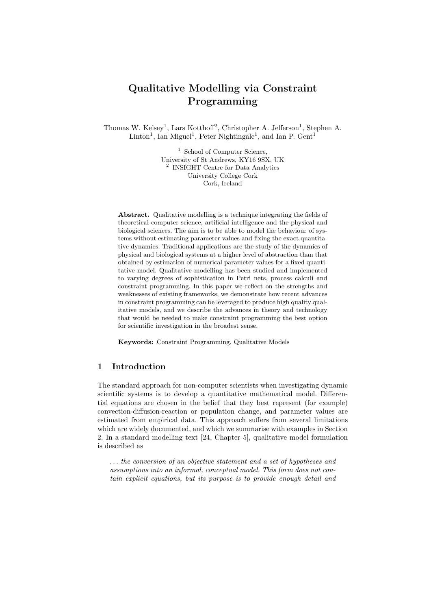Thomas W. Kelsey<sup>1</sup>, Lars Kotthoff<sup>2</sup>, Christopher A. Jefferson<sup>1</sup>, Stephen A.  $\text{Linton}^1$ , Ian Miguel<sup>1</sup>, Peter Nightingale<sup>1</sup>, and Ian P. Gent<sup>1</sup>

> <sup>1</sup> School of Computer Science, University of St Andrews, KY16 9SX, UK 2 INSIGHT Centre for Data Analytics University College Cork Cork, Ireland

Abstract. Qualitative modelling is a technique integrating the fields of theoretical computer science, artificial intelligence and the physical and biological sciences. The aim is to be able to model the behaviour of systems without estimating parameter values and fixing the exact quantitative dynamics. Traditional applications are the study of the dynamics of physical and biological systems at a higher level of abstraction than that obtained by estimation of numerical parameter values for a fixed quantitative model. Qualitative modelling has been studied and implemented to varying degrees of sophistication in Petri nets, process calculi and constraint programming. In this paper we reflect on the strengths and weaknesses of existing frameworks, we demonstrate how recent advances in constraint programming can be leveraged to produce high quality qualitative models, and we describe the advances in theory and technology that would be needed to make constraint programming the best option for scientific investigation in the broadest sense.

Keywords: Constraint Programming, Qualitative Models

# 1 Introduction

The standard approach for non-computer scientists when investigating dynamic scientific systems is to develop a quantitative mathematical model. Differential equations are chosen in the belief that they best represent (for example) convection-diffusion-reaction or population change, and parameter values are estimated from empirical data. This approach suffers from several limitations which are widely documented, and which we summarise with examples in Section 2. In a standard modelling text [24, Chapter 5], qualitative model formulation is described as

... the conversion of an objective statement and a set of hypotheses and assumptions into an informal, conceptual model. This form does not contain explicit equations, but its purpose is to provide enough detail and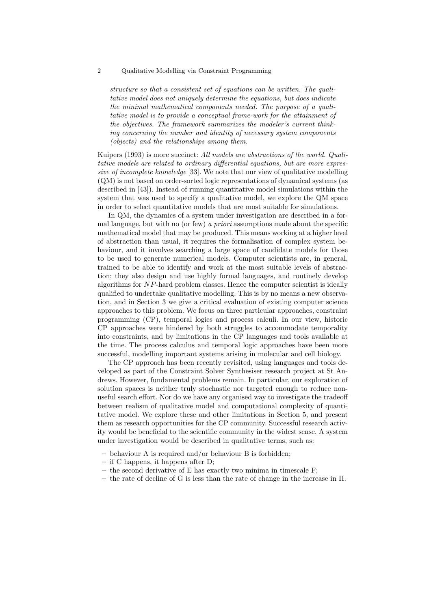structure so that a consistent set of equations can be written. The qualitative model does not uniquely determine the equations, but does indicate the minimal mathematical components needed. The purpose of a qualitative model is to provide a conceptual frame-work for the attainment of the objectives. The framework summarizes the modeler's current thinking concerning the number and identity of necessary system components (objects) and the relationships among them.

Kuipers (1993) is more succinct: All models are abstractions of the world. Qualitative models are related to ordinary differential equations, but are more expressive of incomplete knowledge [33]. We note that our view of qualitative modelling (QM) is not based on order-sorted logic representations of dynamical systems (as described in [43]). Instead of running quantitative model simulations within the system that was used to specify a qualitative model, we explore the QM space in order to select quantitative models that are most suitable for simulations.

In QM, the dynamics of a system under investigation are described in a formal language, but with no (or few) a priori assumptions made about the specific mathematical model that may be produced. This means working at a higher level of abstraction than usual, it requires the formalisation of complex system behaviour, and it involves searching a large space of candidate models for those to be used to generate numerical models. Computer scientists are, in general, trained to be able to identify and work at the most suitable levels of abstraction; they also design and use highly formal languages, and routinely develop algorithms for  $NP$ -hard problem classes. Hence the computer scientist is ideally qualified to undertake qualitative modelling. This is by no means a new observation, and in Section 3 we give a critical evaluation of existing computer science approaches to this problem. We focus on three particular approaches, constraint programming (CP), temporal logics and process calculi. In our view, historic CP approaches were hindered by both struggles to accommodate temporality into constraints, and by limitations in the CP languages and tools available at the time. The process calculus and temporal logic approaches have been more successful, modelling important systems arising in molecular and cell biology.

The CP approach has been recently revisited, using languages and tools developed as part of the Constraint Solver Synthesiser research project at St Andrews. However, fundamental problems remain. In particular, our exploration of solution spaces is neither truly stochastic nor targeted enough to reduce nonuseful search effort. Nor do we have any organised way to investigate the tradeoff between realism of qualitative model and computational complexity of quantitative model. We explore these and other limitations in Section 5, and present them as research opportunities for the CP community. Successful research activity would be beneficial to the scientific community in the widest sense. A system under investigation would be described in qualitative terms, such as:

- behaviour A is required and/or behaviour B is forbidden;
- if C happens, it happens after D;
- the second derivative of  $E$  has exactly two minima in timescale  $F$ ;
- the rate of decline of G is less than the rate of change in the increase in H.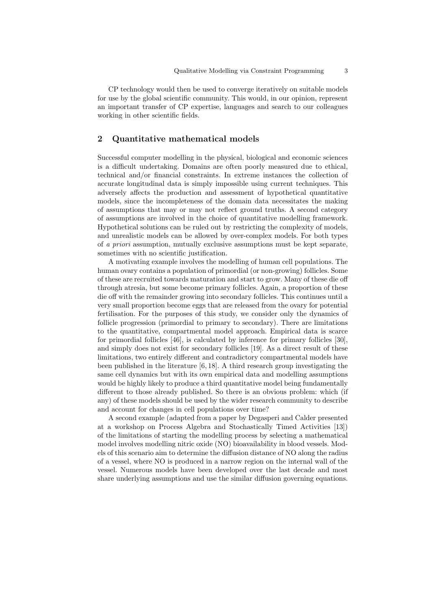CP technology would then be used to converge iteratively on suitable models for use by the global scientific community. This would, in our opinion, represent an important transfer of CP expertise, languages and search to our colleagues working in other scientific fields.

# 2 Quantitative mathematical models

Successful computer modelling in the physical, biological and economic sciences is a difficult undertaking. Domains are often poorly measured due to ethical, technical and/or financial constraints. In extreme instances the collection of accurate longitudinal data is simply impossible using current techniques. This adversely affects the production and assessment of hypothetical quantitative models, since the incompleteness of the domain data necessitates the making of assumptions that may or may not reflect ground truths. A second category of assumptions are involved in the choice of quantitative modelling framework. Hypothetical solutions can be ruled out by restricting the complexity of models, and unrealistic models can be allowed by over-complex models. For both types of a priori assumption, mutually exclusive assumptions must be kept separate, sometimes with no scientific justification.

A motivating example involves the modelling of human cell populations. The human ovary contains a population of primordial (or non-growing) follicles. Some of these are recruited towards maturation and start to grow. Many of these die off through atresia, but some become primary follicles. Again, a proportion of these die off with the remainder growing into secondary follicles. This continues until a very small proportion become eggs that are released from the ovary for potential fertilisation. For the purposes of this study, we consider only the dynamics of follicle progression (primordial to primary to secondary). There are limitations to the quantitative, compartmental model approach. Empirical data is scarce for primordial follicles [46], is calculated by inference for primary follicles [30], and simply does not exist for secondary follicles [19]. As a direct result of these limitations, two entirely different and contradictory compartmental models have been published in the literature [6, 18]. A third research group investigating the same cell dynamics but with its own empirical data and modelling assumptions would be highly likely to produce a third quantitative model being fundamentally different to those already published. So there is an obvious problem: which (if any) of these models should be used by the wider research community to describe and account for changes in cell populations over time?

A second example (adapted from a paper by Degasperi and Calder presented at a workshop on Process Algebra and Stochastically Timed Activities [13]) of the limitations of starting the modelling process by selecting a mathematical model involves modelling nitric oxide (NO) bioavailability in blood vessels. Models of this scenario aim to determine the diffusion distance of NO along the radius of a vessel, where NO is produced in a narrow region on the internal wall of the vessel. Numerous models have been developed over the last decade and most share underlying assumptions and use the similar diffusion governing equations.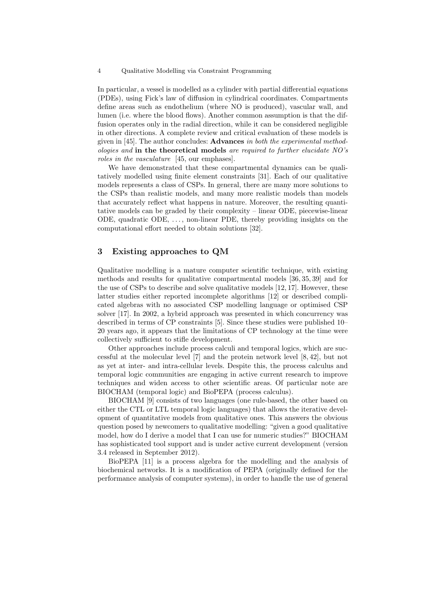In particular, a vessel is modelled as a cylinder with partial differential equations (PDEs), using Fick's law of diffusion in cylindrical coordinates. Compartments define areas such as endothelium (where NO is produced), vascular wall, and lumen (i.e. where the blood flows). Another common assumption is that the diffusion operates only in the radial direction, while it can be considered negligible in other directions. A complete review and critical evaluation of these models is given in  $[45]$ . The author concludes: **Advances** in both the experimental methodologies and in the theoretical models are required to further elucidate  $NO's$ roles in the vasculature [45, our emphases].

We have demonstrated that these compartmental dynamics can be qualitatively modelled using finite element constraints [31]. Each of our qualitative models represents a class of CSPs. In general, there are many more solutions to the CSPs than realistic models, and many more realistic models than models that accurately reflect what happens in nature. Moreover, the resulting quantitative models can be graded by their complexity – linear ODE, piecewise-linear ODE, quadratic ODE, . . . , non-linear PDE, thereby providing insights on the computational effort needed to obtain solutions [32].

# 3 Existing approaches to QM

Qualitative modelling is a mature computer scientific technique, with existing methods and results for qualitative compartmental models [36, 35, 39] and for the use of CSPs to describe and solve qualitative models [12, 17]. However, these latter studies either reported incomplete algorithms [12] or described complicated algebras with no associated CSP modelling language or optimised CSP solver [17]. In 2002, a hybrid approach was presented in which concurrency was described in terms of CP constraints [5]. Since these studies were published 10– 20 years ago, it appears that the limitations of CP technology at the time were collectively sufficient to stifle development.

Other approaches include process calculi and temporal logics, which are successful at the molecular level [7] and the protein network level [8, 42], but not as yet at inter- and intra-cellular levels. Despite this, the process calculus and temporal logic communities are engaging in active current research to improve techniques and widen access to other scientific areas. Of particular note are BIOCHAM (temporal logic) and BioPEPA (process calculus).

BIOCHAM [9] consists of two languages (one rule-based, the other based on either the CTL or LTL temporal logic languages) that allows the iterative development of quantitative models from qualitative ones. This answers the obvious question posed by newcomers to qualitative modelling: "given a good qualitative model, how do I derive a model that I can use for numeric studies?" BIOCHAM has sophisticated tool support and is under active current development (version 3.4 released in September 2012).

BioPEPA [11] is a process algebra for the modelling and the analysis of biochemical networks. It is a modification of PEPA (originally defined for the performance analysis of computer systems), in order to handle the use of general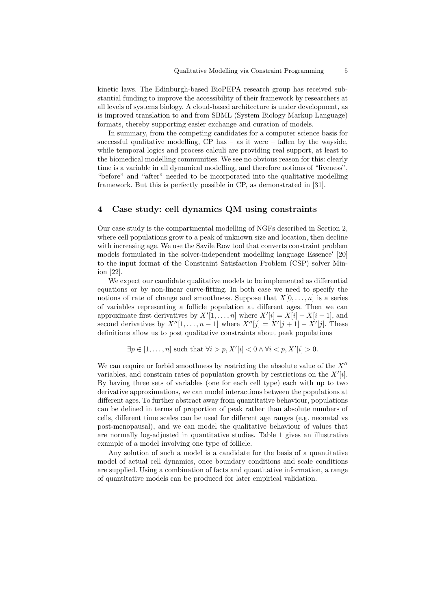kinetic laws. The Edinburgh-based BioPEPA research group has received substantial funding to improve the accessibility of their framework by researchers at all levels of systems biology. A cloud-based architecture is under development, as is improved translation to and from SBML (System Biology Markup Language) formats, thereby supporting easier exchange and curation of models.

In summary, from the competing candidates for a computer science basis for successful qualitative modelling, CP has  $-$  as it were  $-$  fallen by the wayside, while temporal logics and process calculi are providing real support, at least to the biomedical modelling communities. We see no obvious reason for this: clearly time is a variable in all dynamical modelling, and therefore notions of "liveness", "before" and "after" needed to be incorporated into the qualitative modelling framework. But this is perfectly possible in CP, as demonstrated in [31].

### 4 Case study: cell dynamics QM using constraints

Our case study is the compartmental modelling of NGFs described in Section 2, where cell populations grow to a peak of unknown size and location, then decline with increasing age. We use the Savile Row tool that converts constraint problem models formulated in the solver-independent modelling language Essence′ [20] to the input format of the Constraint Satisfaction Problem (CSP) solver Minion [22].

We expect our candidate qualitative models to be implemented as differential equations or by non-linear curve-fitting. In both case we need to specify the notions of rate of change and smoothness. Suppose that  $X[0, \ldots, n]$  is a series of variables representing a follicle population at different ages. Then we can approximate first derivatives by  $X'[1, \ldots, n]$  where  $X'[i] = X[i] - X[i-1]$ , and second derivatives by  $X''[1, \ldots, n-1]$  where  $X''[j] = X'[j+1] - X'[j]$ . These definitions allow us to post qualitative constraints about peak populations

 $\exists p \in [1, \ldots, n]$  such that  $\forall i > p, X'[i] < 0 \land \forall i < p, X'[i] > 0$ .

We can require or forbid smoothness by restricting the absolute value of the  $X''$ variables, and constrain rates of population growth by restrictions on the  $X'[i]$ . By having three sets of variables (one for each cell type) each with up to two derivative approximations, we can model interactions between the populations at different ages. To further abstract away from quantitative behaviour, populations can be defined in terms of proportion of peak rather than absolute numbers of cells, different time scales can be used for different age ranges (e.g. neonatal vs post-menopausal), and we can model the qualitative behaviour of values that are normally log-adjusted in quantitative studies. Table 1 gives an illustrative example of a model involving one type of follicle.

Any solution of such a model is a candidate for the basis of a quantitative model of actual cell dynamics, once boundary conditions and scale conditions are supplied. Using a combination of facts and quantitative information, a range of quantitative models can be produced for later empirical validation.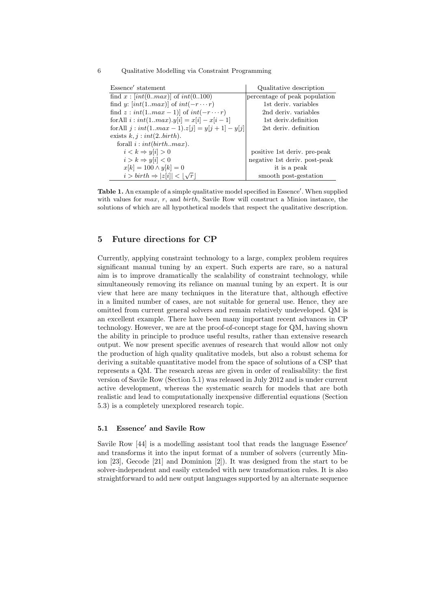| Essence' statement                                       | Qualitative description       |
|----------------------------------------------------------|-------------------------------|
| find $x : [int(0max)]$ of $int(0100)$                    | percentage of peak population |
| find y: [int(1max)] of $int(-r \cdots r)$                | 1st deriv. variables          |
| find $z: int(1.max - 1)]$ of $int(-r \cdots r)$          | 2nd deriv. variables          |
| for All $i: int(1max).y[i] = x[i] - x[i-1]$              | 1st deriv.definition          |
| for All $j: int(1 \dots max - 1).z[j] = y[j + 1] - y[j]$ | 2st deriv. definition         |
| exists $k, j: int(2. . birth).$                          |                               |
| forall $i : int(birth.max)$ .                            |                               |
| $i < k \Rightarrow y[i] > 0$                             | positive 1st deriv. pre-peak  |
| $i > k \Rightarrow y[i] < 0$                             | negative 1st deriv. post-peak |
| $x[k] = 100 \wedge y[k] = 0$                             | it is a peak                  |
| $i > birth \Rightarrow  z[i]  <  \sqrt{r} $              | smooth post-gestation         |

Table 1. An example of a simple qualitative model specified in Essence'. When supplied with values for  $max$ ,  $r$ , and  $birth$ . Savile Row will construct a Minion instance, the solutions of which are all hypothetical models that respect the qualitative description.

### 5 Future directions for CP

Currently, applying constraint technology to a large, complex problem requires significant manual tuning by an expert. Such experts are rare, so a natural aim is to improve dramatically the scalability of constraint technology, while simultaneously removing its reliance on manual tuning by an expert. It is our view that here are many techniques in the literature that, although effective in a limited number of cases, are not suitable for general use. Hence, they are omitted from current general solvers and remain relatively undeveloped. QM is an excellent example. There have been many important recent advances in CP technology. However, we are at the proof-of-concept stage for QM, having shown the ability in principle to produce useful results, rather than extensive research output. We now present specific avenues of research that would allow not only the production of high quality qualitative models, but also a robust schema for deriving a suitable quantitative model from the space of solutions of a CSP that represents a QM. The research areas are given in order of realisability: the first version of Savile Row (Section 5.1) was released in July 2012 and is under current active development, whereas the systematic search for models that are both realistic and lead to computationally inexpensive differential equations (Section 5.3) is a completely unexplored research topic.

### 5.1 Essence′ and Savile Row

Savile Row [44] is a modelling assistant tool that reads the language Essence′ and transforms it into the input format of a number of solvers (currently Minion [23], Gecode [21] and Dominion [2]). It was designed from the start to be solver-independent and easily extended with new transformation rules. It is also straightforward to add new output languages supported by an alternate sequence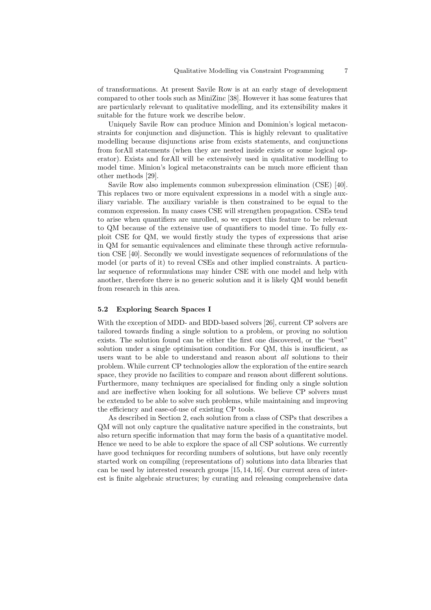of transformations. At present Savile Row is at an early stage of development compared to other tools such as MiniZinc [38]. However it has some features that are particularly relevant to qualitative modelling, and its extensibility makes it suitable for the future work we describe below.

Uniquely Savile Row can produce Minion and Dominion's logical metaconstraints for conjunction and disjunction. This is highly relevant to qualitative modelling because disjunctions arise from exists statements, and conjunctions from forAll statements (when they are nested inside exists or some logical operator). Exists and forAll will be extensively used in qualitative modelling to model time. Minion's logical metaconstraints can be much more efficient than other methods [29].

Savile Row also implements common subexpression elimination (CSE) [40]. This replaces two or more equivalent expressions in a model with a single auxiliary variable. The auxiliary variable is then constrained to be equal to the common expression. In many cases CSE will strengthen propagation. CSEs tend to arise when quantifiers are unrolled, so we expect this feature to be relevant to QM because of the extensive use of quantifiers to model time. To fully exploit CSE for QM, we would firstly study the types of expressions that arise in QM for semantic equivalences and eliminate these through active reformulation CSE [40]. Secondly we would investigate sequences of reformulations of the model (or parts of it) to reveal CSEs and other implied constraints. A particular sequence of reformulations may hinder CSE with one model and help with another, therefore there is no generic solution and it is likely QM would benefit from research in this area.

### 5.2 Exploring Search Spaces I

With the exception of MDD- and BDD-based solvers [26], current CP solvers are tailored towards finding a single solution to a problem, or proving no solution exists. The solution found can be either the first one discovered, or the "best" solution under a single optimisation condition. For QM, this is insufficient, as users want to be able to understand and reason about *all* solutions to their problem. While current CP technologies allow the exploration of the entire search space, they provide no facilities to compare and reason about different solutions. Furthermore, many techniques are specialised for finding only a single solution and are ineffective when looking for all solutions. We believe CP solvers must be extended to be able to solve such problems, while maintaining and improving the efficiency and ease-of-use of existing CP tools.

As described in Section 2, each solution from a class of CSPs that describes a QM will not only capture the qualitative nature specified in the constraints, but also return specific information that may form the basis of a quantitative model. Hence we need to be able to explore the space of all CSP solutions. We currently have good techniques for recording numbers of solutions, but have only recently started work on compiling (representations of) solutions into data libraries that can be used by interested research groups [15, 14, 16]. Our current area of interest is finite algebraic structures; by curating and releasing comprehensive data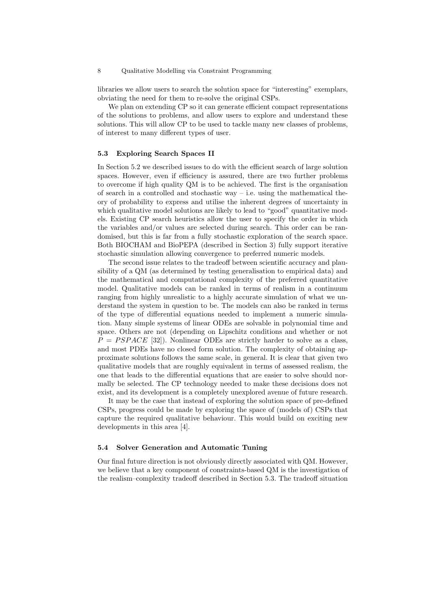libraries we allow users to search the solution space for "interesting" exemplars, obviating the need for them to re-solve the original CSPs.

We plan on extending CP so it can generate efficient compact representations of the solutions to problems, and allow users to explore and understand these solutions. This will allow CP to be used to tackle many new classes of problems, of interest to many different types of user.

### 5.3 Exploring Search Spaces II

In Section 5.2 we described issues to do with the efficient search of large solution spaces. However, even if efficiency is assured, there are two further problems to overcome if high quality QM is to be achieved. The first is the organisation of search in a controlled and stochastic way – i.e. using the mathematical theory of probability to express and utilise the inherent degrees of uncertainty in which qualitative model solutions are likely to lead to "good" quantitative models. Existing CP search heuristics allow the user to specify the order in which the variables and/or values are selected during search. This order can be randomised, but this is far from a fully stochastic exploration of the search space. Both BIOCHAM and BioPEPA (described in Section 3) fully support iterative stochastic simulation allowing convergence to preferred numeric models.

The second issue relates to the tradeoff between scientific accuracy and plausibility of a QM (as determined by testing generalisation to empirical data) and the mathematical and computational complexity of the preferred quantitative model. Qualitative models can be ranked in terms of realism in a continuum ranging from highly unrealistic to a highly accurate simulation of what we understand the system in question to be. The models can also be ranked in terms of the type of differential equations needed to implement a numeric simulation. Many simple systems of linear ODEs are solvable in polynomial time and space. Others are not (depending on Lipschitz conditions and whether or not  $P = PSPACE$  [32]). Nonlinear ODEs are strictly harder to solve as a class, and most PDEs have no closed form solution. The complexity of obtaining approximate solutions follows the same scale, in general. It is clear that given two qualitative models that are roughly equivalent in terms of assessed realism, the one that leads to the differential equations that are easier to solve should normally be selected. The CP technology needed to make these decisions does not exist, and its development is a completely unexplored avenue of future research.

It may be the case that instead of exploring the solution space of pre-defined CSPs, progress could be made by exploring the space of (models of) CSPs that capture the required qualitative behaviour. This would build on exciting new developments in this area [4].

### 5.4 Solver Generation and Automatic Tuning

Our final future direction is not obviously directly associated with QM. However, we believe that a key component of constraints-based QM is the investigation of the realism–complexity tradeoff described in Section 5.3. The tradeoff situation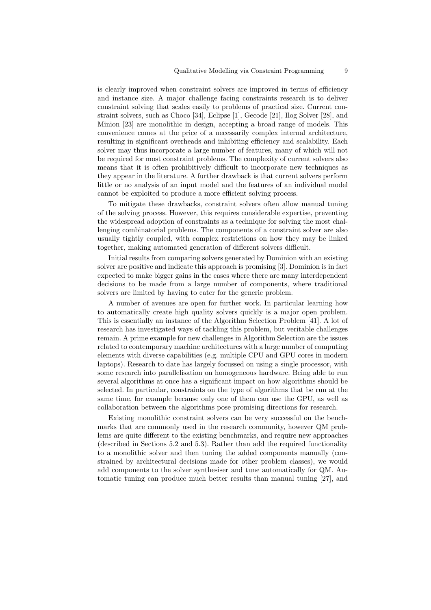is clearly improved when constraint solvers are improved in terms of efficiency and instance size. A major challenge facing constraints research is to deliver constraint solving that scales easily to problems of practical size. Current constraint solvers, such as Choco [34], Eclipse [1], Gecode [21], Ilog Solver [28], and Minion [23] are monolithic in design, accepting a broad range of models. This convenience comes at the price of a necessarily complex internal architecture, resulting in significant overheads and inhibiting efficiency and scalability. Each solver may thus incorporate a large number of features, many of which will not be required for most constraint problems. The complexity of current solvers also means that it is often prohibitively difficult to incorporate new techniques as they appear in the literature. A further drawback is that current solvers perform little or no analysis of an input model and the features of an individual model cannot be exploited to produce a more efficient solving process.

To mitigate these drawbacks, constraint solvers often allow manual tuning of the solving process. However, this requires considerable expertise, preventing the widespread adoption of constraints as a technique for solving the most challenging combinatorial problems. The components of a constraint solver are also usually tightly coupled, with complex restrictions on how they may be linked together, making automated generation of different solvers difficult.

Initial results from comparing solvers generated by Dominion with an existing solver are positive and indicate this approach is promising [3]. Dominion is in fact expected to make bigger gains in the cases where there are many interdependent decisions to be made from a large number of components, where traditional solvers are limited by having to cater for the generic problem.

A number of avenues are open for further work. In particular learning how to automatically create high quality solvers quickly is a major open problem. This is essentially an instance of the Algorithm Selection Problem [41]. A lot of research has investigated ways of tackling this problem, but veritable challenges remain. A prime example for new challenges in Algorithm Selection are the issues related to contemporary machine architectures with a large number of computing elements with diverse capabilities (e.g. multiple CPU and GPU cores in modern laptops). Research to date has largely focussed on using a single processor, with some research into parallelisation on homogeneous hardware. Being able to run several algorithms at once has a significant impact on how algorithms should be selected. In particular, constraints on the type of algorithms that be run at the same time, for example because only one of them can use the GPU, as well as collaboration between the algorithms pose promising directions for research.

Existing monolithic constraint solvers can be very successful on the benchmarks that are commonly used in the research community, however QM problems are quite different to the existing benchmarks, and require new approaches (described in Sections 5.2 and 5.3). Rather than add the required functionality to a monolithic solver and then tuning the added components manually (constrained by architectural decisions made for other problem classes), we would add components to the solver synthesiser and tune automatically for QM. Automatic tuning can produce much better results than manual tuning [27], and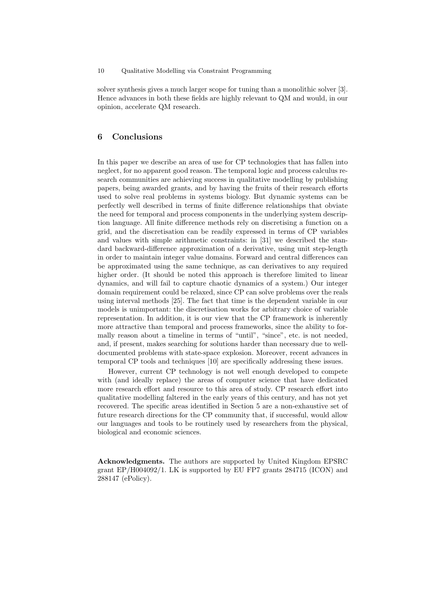solver synthesis gives a much larger scope for tuning than a monolithic solver [3]. Hence advances in both these fields are highly relevant to QM and would, in our opinion, accelerate QM research.

# 6 Conclusions

In this paper we describe an area of use for CP technologies that has fallen into neglect, for no apparent good reason. The temporal logic and process calculus research communities are achieving success in qualitative modelling by publishing papers, being awarded grants, and by having the fruits of their research efforts used to solve real problems in systems biology. But dynamic systems can be perfectly well described in terms of finite difference relationships that obviate the need for temporal and process components in the underlying system description language. All finite difference methods rely on discretising a function on a grid, and the discretisation can be readily expressed in terms of CP variables and values with simple arithmetic constraints: in [31] we described the standard backward-difference approximation of a derivative, using unit step-length in order to maintain integer value domains. Forward and central differences can be approximated using the same technique, as can derivatives to any required higher order. (It should be noted this approach is therefore limited to linear dynamics, and will fail to capture chaotic dynamics of a system.) Our integer domain requirement could be relaxed, since CP can solve problems over the reals using interval methods [25]. The fact that time is the dependent variable in our models is unimportant: the discretisation works for arbitrary choice of variable representation. In addition, it is our view that the CP framework is inherently more attractive than temporal and process frameworks, since the ability to formally reason about a timeline in terms of "until", "since", etc. is not needed, and, if present, makes searching for solutions harder than necessary due to welldocumented problems with state-space explosion. Moreover, recent advances in temporal CP tools and techniques [10] are specifically addressing these issues.

However, current CP technology is not well enough developed to compete with (and ideally replace) the areas of computer science that have dedicated more research effort and resource to this area of study. CP research effort into qualitative modelling faltered in the early years of this century, and has not yet recovered. The specific areas identified in Section 5 are a non-exhaustive set of future research directions for the CP community that, if successful, would allow our languages and tools to be routinely used by researchers from the physical, biological and economic sciences.

Acknowledgments. The authors are supported by United Kingdom EPSRC grant EP/H004092/1. LK is supported by EU FP7 grants 284715 (ICON) and 288147 (ePolicy).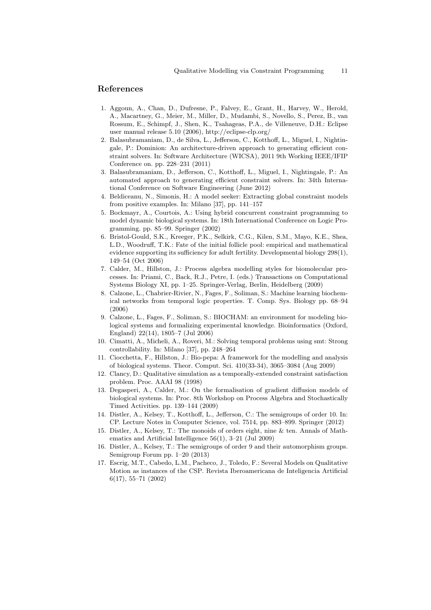### References

- 1. Aggoun, A., Chan, D., Dufresne, P., Falvey, E., Grant, H., Harvey, W., Herold, A., Macartney, G., Meier, M., Miller, D., Mudambi, S., Novello, S., Perez, B., van Rossum, E., Schimpf, J., Shen, K., Tsahageas, P.A., de Villeneuve, D.H.: Eclipse user manual release 5.10 (2006), http://eclipse-clp.org/
- 2. Balasubramaniam, D., de Silva, L., Jefferson, C., Kotthoff, L., Miguel, I., Nightingale, P.: Dominion: An architecture-driven approach to generating efficient constraint solvers. In: Software Architecture (WICSA), 2011 9th Working IEEE/IFIP Conference on. pp. 228–231 (2011)
- 3. Balasubramaniam, D., Jefferson, C., Kotthoff, L., Miguel, I., Nightingale, P.: An automated approach to generating efficient constraint solvers. In: 34th International Conference on Software Engineering (June 2012)
- 4. Beldiceanu, N., Simonis, H.: A model seeker: Extracting global constraint models from positive examples. In: Milano [37], pp. 141–157
- 5. Bockmayr, A., Courtois, A.: Using hybrid concurrent constraint programming to model dynamic biological systems. In: 18th International Conference on Logic Programming. pp. 85–99. Springer (2002)
- 6. Bristol-Gould, S.K., Kreeger, P.K., Selkirk, C.G., Kilen, S.M., Mayo, K.E., Shea, L.D., Woodruff, T.K.: Fate of the initial follicle pool: empirical and mathematical evidence supporting its sufficiency for adult fertility. Developmental biology 298(1), 149–54 (Oct 2006)
- 7. Calder, M., Hillston, J.: Process algebra modelling styles for biomolecular processes. In: Priami, C., Back, R.J., Petre, I. (eds.) Transactions on Computational Systems Biology XI, pp. 1–25. Springer-Verlag, Berlin, Heidelberg (2009)
- 8. Calzone, L., Chabrier-Rivier, N., Fages, F., Soliman, S.: Machine learning biochemical networks from temporal logic properties. T. Comp. Sys. Biology pp. 68–94 (2006)
- 9. Calzone, L., Fages, F., Soliman, S.: BIOCHAM: an environment for modeling biological systems and formalizing experimental knowledge. Bioinformatics (Oxford, England) 22(14), 1805–7 (Jul 2006)
- 10. Cimatti, A., Micheli, A., Roveri, M.: Solving temporal problems using smt: Strong controllability. In: Milano [37], pp. 248–264
- 11. Ciocchetta, F., Hillston, J.: Bio-pepa: A framework for the modelling and analysis of biological systems. Theor. Comput. Sci. 410(33-34), 3065–3084 (Aug 2009)
- 12. Clancy, D.: Qualitative simulation as a temporally-extended constraint satisfaction problem. Proc. AAAI 98 (1998)
- 13. Degasperi, A., Calder, M.: On the formalisation of gradient diffusion models of biological systems. In: Proc. 8th Workshop on Process Algebra and Stochastically Timed Activities. pp. 139–144 (2009)
- 14. Distler, A., Kelsey, T., Kotthoff, L., Jefferson, C.: The semigroups of order 10. In: CP. Lecture Notes in Computer Science, vol. 7514, pp. 883–899. Springer (2012)
- 15. Distler, A., Kelsey, T.: The monoids of orders eight, nine & ten. Annals of Mathematics and Artificial Intelligence 56(1), 3–21 (Jul 2009)
- 16. Distler, A., Kelsey, T.: The semigroups of order 9 and their automorphism groups. Semigroup Forum pp. 1–20 (2013)
- 17. Escrig, M.T., Cabedo, L.M., Pacheco, J., Toledo, F.: Several Models on Qualitative Motion as instances of the CSP. Revista Iberoamericana de Inteligencia Artificial 6(17), 55–71 (2002)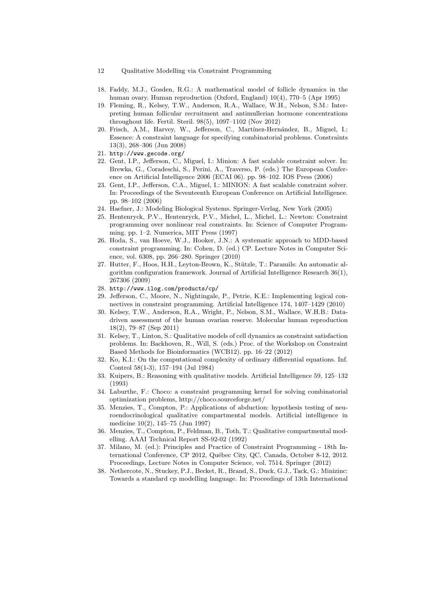- 12 Qualitative Modelling via Constraint Programming
- 18. Faddy, M.J., Gosden, R.G.: A mathematical model of follicle dynamics in the human ovary. Human reproduction (Oxford, England) 10(4), 770–5 (Apr 1995)
- 19. Fleming, R., Kelsey, T.W., Anderson, R.A., Wallace, W.H., Nelson, S.M.: Interpreting human follicular recruitment and antimullerian hormone concentrations throughout life. Fertil. Steril. 98(5), 1097–1102 (Nov 2012)
- 20. Frisch, A.M., Harvey, W., Jefferson, C., Martínez-Hernández, B., Miguel, I.: Essence: A constraint language for specifying combinatorial problems. Constraints 13(3), 268–306 (Jun 2008)
- 21. http://www.gecode.org/
- 22. Gent, I.P., Jefferson, C., Miguel, I.: Minion: A fast scalable constraint solver. In: Brewka, G., Coradeschi, S., Perini, A., Traverso, P. (eds.) The European Conference on Artificial Intelligence 2006 (ECAI 06). pp. 98–102. IOS Press (2006)
- 23. Gent, I.P., Jefferson, C.A., Miguel, I.: MINION: A fast scalable constraint solver. In: Proceedings of the Seventeenth European Conference on Artificial Intelligence. pp. 98–102 (2006)
- 24. Haefner, J.: Modeling Biological Systems. Springer-Verlag, New York (2005)
- 25. Hentenryck, P.V., Hentenryck, P.V., Michel, L., Michel, L.: Newton: Constraint programming over nonlinear real constraints. In: Science of Computer Programming. pp. 1–2. Numerica, MIT Press (1997)
- 26. Hoda, S., van Hoeve, W.J., Hooker, J.N.: A systematic approach to MDD-based constraint programming. In: Cohen, D. (ed.) CP. Lecture Notes in Computer Science, vol. 6308, pp. 266–280. Springer (2010)
- 27. Hutter, F., Hoos, H.H., Leyton-Brown, K., Stützle, T.: Paramils: An automatic algorithm configuration framework. Journal of Artificial Intelligence Research 36(1), 267306 (2009)
- 28. http://www.ilog.com/products/cp/
- 29. Jefferson, C., Moore, N., Nightingale, P., Petrie, K.E.: Implementing logical connectives in constraint programming. Artificial Intelligence 174, 1407–1429 (2010)
- 30. Kelsey, T.W., Anderson, R.A., Wright, P., Nelson, S.M., Wallace, W.H.B.: Datadriven assessment of the human ovarian reserve. Molecular human reproduction 18(2), 79–87 (Sep 2011)
- 31. Kelsey, T., Linton, S.: Qualitative models of cell dynamics as constraint satisfaction problems. In: Backhoven, R., Will, S. (eds.) Proc. of the Workshop on Constraint Based Methods for Bioinformatics (WCB12). pp. 16–22 (2012)
- 32. Ko, K.I.: On the computational complexity of ordinary differential equations. Inf. Control 58(1-3), 157–194 (Jul 1984)
- 33. Kuipers, B.: Reasoning with qualitative models. Artificial Intelligence 59, 125–132 (1993)
- 34. Laburthe, F.: Choco: a constraint programming kernel for solving combinatorial optimization problems, http://choco.sourceforge.net/
- 35. Menzies, T., Compton, P.: Applications of abduction: hypothesis testing of neuroendocrinological qualitative compartmental models. Artificial intelligence in medicine 10(2), 145–75 (Jun 1997)
- 36. Menzies, T., Compton, P., Feldman, B., Toth, T.: Qualitative compartmental modelling. AAAI Technical Report SS-92-02 (1992)
- 37. Milano, M. (ed.): Principles and Practice of Constraint Programming 18th International Conference, CP 2012, Québec City, QC, Canada, October 8-12, 2012. Proceedings, Lecture Notes in Computer Science, vol. 7514. Springer (2012)
- 38. Nethercote, N., Stuckey, P.J., Becket, R., Brand, S., Duck, G.J., Tack, G.: Minizinc: Towards a standard cp modelling language. In: Proceedings of 13th International